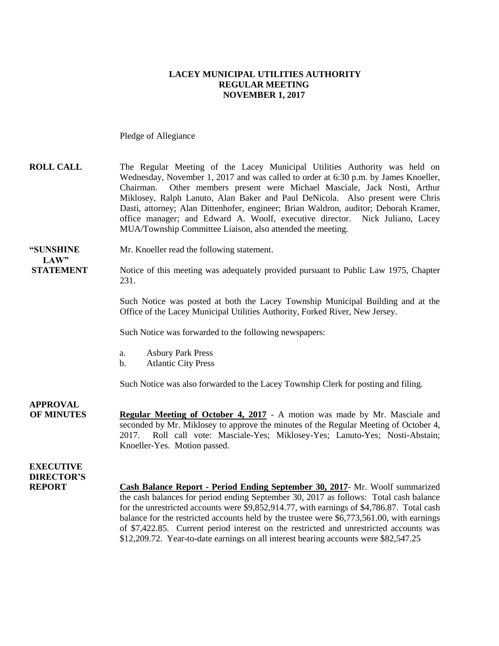### **LACEY MUNICIPAL UTILITIES AUTHORITY REGULAR MEETING NOVEMBER 1, 2017**

Pledge of Allegiance

| <b>ROLL CALL</b> | The Regular Meeting of the Lacey Municipal Utilities Authority was held on           |
|------------------|--------------------------------------------------------------------------------------|
|                  | Wednesday, November 1, 2017 and was called to order at 6:30 p.m. by James Knoeller,  |
|                  | Chairman. Other members present were Michael Masciale, Jack Nosti, Arthur            |
|                  | Miklosey, Ralph Lanuto, Alan Baker and Paul DeNicola. Also present were Chris        |
|                  | Dasti, attorney; Alan Dittenhofer, engineer; Brian Waldron, auditor; Deborah Kramer, |
|                  | office manager; and Edward A. Woolf, executive director. Nick Juliano, Lacey         |
|                  | MUA/Township Committee Liaison, also attended the meeting.                           |
|                  |                                                                                      |

**"SUNSHINE** Mr. Knoeller read the following statement. LAW"

### **STATEMENT** Notice of this meeting was adequately provided pursuant to Public Law 1975, Chapter 231.

Such Notice was posted at both the Lacey Township Municipal Building and at the Office of the Lacey Municipal Utilities Authority, Forked River, New Jersey.

Such Notice was forwarded to the following newspapers:

- a. Asbury Park Press
- b. Atlantic City Press

Such Notice was also forwarded to the Lacey Township Clerk for posting and filing.

**APPROVAL OF MINUTES Regular Meeting of October 4, 2017** - A motion was made by Mr. Masciale and seconded by Mr. Miklosey to approve the minutes of the Regular Meeting of October 4, 2017. Roll call vote: Masciale-Yes; Miklosey-Yes; Lanuto-Yes; Nosti-Abstain; Knoeller-Yes. Motion passed.

**EXECUTIVE DIRECTOR'S**

**REPORT Cash Balance Report - Period Ending September 30, 2017**- Mr. Woolf summarized the cash balances for period ending September 30, 2017 as follows: Total cash balance for the unrestricted accounts were \$9,852,914.77, with earnings of \$4,786.87. Total cash balance for the restricted accounts held by the trustee were \$6,773,561.00, with earnings of \$7,422.85. Current period interest on the restricted and unrestricted accounts was \$12,209.72. Year-to-date earnings on all interest bearing accounts were \$82,547.25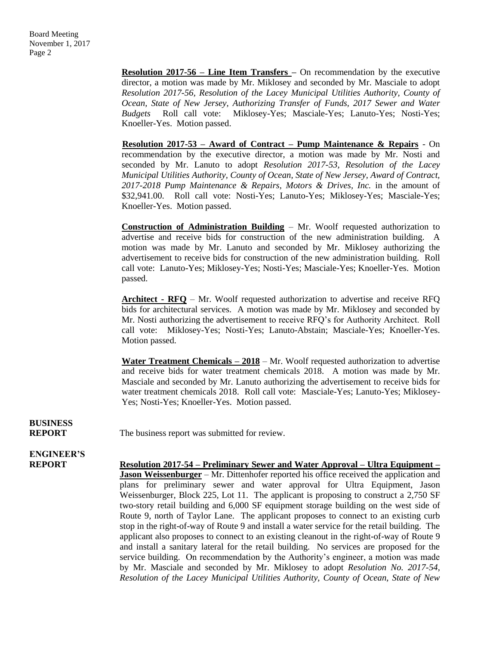**Resolution 2017-56 – Line Item Transfers –** On recommendation by the executive director, a motion was made by Mr. Miklosey and seconded by Mr. Masciale to adopt *Resolution 2017-56, Resolution of the Lacey Municipal Utilities Authority, County of Ocean, State of New Jersey, Authorizing Transfer of Funds, 2017 Sewer and Water Budgets* Roll call vote: Miklosey-Yes; Masciale-Yes; Lanuto-Yes; Nosti-Yes; Knoeller-Yes. Motion passed.

**Resolution 2017-53 – Award of Contract – Pump Maintenance & Repairs** - On recommendation by the executive director, a motion was made by Mr. Nosti and seconded by Mr. Lanuto to adopt *Resolution 2017-53, Resolution of the Lacey Municipal Utilities Authority, County of Ocean, State of New Jersey, Award of Contract, 2017-2018 Pump Maintenance & Repairs, Motors & Drives, Inc.* in the amount of \$32,941.00. Roll call vote: Nosti-Yes; Lanuto-Yes; Miklosey-Yes; Masciale-Yes; Knoeller-Yes. Motion passed.

**Construction of Administration Building** – Mr. Woolf requested authorization to advertise and receive bids for construction of the new administration building. A motion was made by Mr. Lanuto and seconded by Mr. Miklosey authorizing the advertisement to receive bids for construction of the new administration building. Roll call vote: Lanuto-Yes; Miklosey-Yes; Nosti-Yes; Masciale-Yes; Knoeller-Yes. Motion passed.

**Architect - RFQ** – Mr. Woolf requested authorization to advertise and receive RFQ bids for architectural services. A motion was made by Mr. Miklosey and seconded by Mr. Nosti authorizing the advertisement to receive RFQ's for Authority Architect. Roll call vote: Miklosey-Yes; Nosti-Yes; Lanuto-Abstain; Masciale-Yes; Knoeller-Yes. Motion passed.

**Water Treatment Chemicals – 2018** – Mr. Woolf requested authorization to advertise and receive bids for water treatment chemicals 2018. A motion was made by Mr. Masciale and seconded by Mr. Lanuto authorizing the advertisement to receive bids for water treatment chemicals 2018. Roll call vote: Masciale-Yes; Lanuto-Yes; Miklosey-Yes; Nosti-Yes; Knoeller-Yes. Motion passed.

**BUSINESS**

**REPORT** The business report was submitted for review.

## **ENGINEER'S**

**REPORT Resolution 2017-54 – Preliminary Sewer and Water Approval – Ultra Equipment – Jason Weissenburger** – Mr. Dittenhofer reported his office received the application and plans for preliminary sewer and water approval for Ultra Equipment, Jason Weissenburger, Block 225, Lot 11. The applicant is proposing to construct a 2,750 SF two-story retail building and 6,000 SF equipment storage building on the west side of Route 9, north of Taylor Lane. The applicant proposes to connect to an existing curb stop in the right-of-way of Route 9 and install a water service for the retail building. The applicant also proposes to connect to an existing cleanout in the right-of-way of Route 9 and install a sanitary lateral for the retail building. No services are proposed for the service building. On recommendation by the Authority's engineer, a motion was made by Mr. Masciale and seconded by Mr. Miklosey to adopt *Resolution No. 2017-54, Resolution of the Lacey Municipal Utilities Authority, County of Ocean, State of New*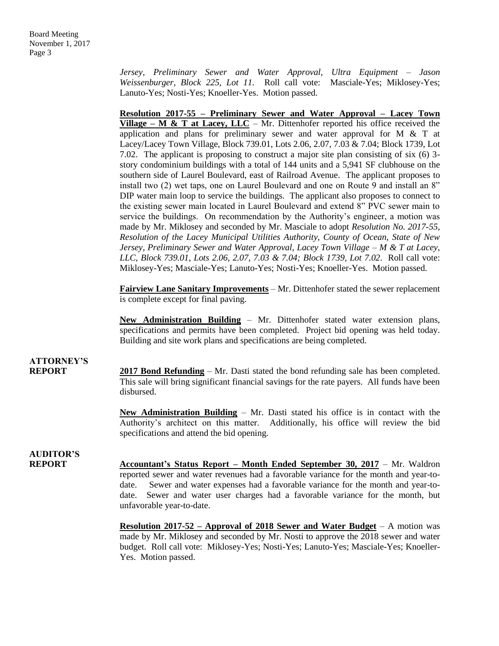*Jersey, Preliminary Sewer and Water Approval, Ultra Equipment – Jason Weissenburger, Block 225, Lot 11.* Roll call vote: Masciale-Yes; Miklosey-Yes; Lanuto-Yes; Nosti-Yes; Knoeller-Yes. Motion passed.

**Resolution 2017-55 – Preliminary Sewer and Water Approval – Lacey Town Village – M & T at Lacey, LLC** – Mr. Dittenhofer reported his office received the application and plans for preliminary sewer and water approval for M & T at Lacey/Lacey Town Village, Block 739.01, Lots 2.06, 2.07, 7.03 & 7.04; Block 1739, Lot 7.02. The applicant is proposing to construct a major site plan consisting of six (6) 3 story condominium buildings with a total of 144 units and a 5,941 SF clubhouse on the southern side of Laurel Boulevard, east of Railroad Avenue. The applicant proposes to install two (2) wet taps, one on Laurel Boulevard and one on Route 9 and install an 8" DIP water main loop to service the buildings. The applicant also proposes to connect to the existing sewer main located in Laurel Boulevard and extend 8" PVC sewer main to service the buildings. On recommendation by the Authority's engineer, a motion was made by Mr. Miklosey and seconded by Mr. Masciale to adopt *Resolution No. 2017-55, Resolution of the Lacey Municipal Utilities Authority, County of Ocean, State of New Jersey, Preliminary Sewer and Water Approval, Lacey Town Village – M & T at Lacey, LLC, Block 739.01, Lots 2.06, 2.07, 7.03 & 7.04; Block 1739, Lot 7.02*.Roll call vote: Miklosey-Yes; Masciale-Yes; Lanuto-Yes; Nosti-Yes; Knoeller-Yes. Motion passed.

**Fairview Lane Sanitary Improvements** – Mr. Dittenhofer stated the sewer replacement is complete except for final paving.

**New Administration Building** – Mr. Dittenhofer stated water extension plans, specifications and permits have been completed. Project bid opening was held today. Building and site work plans and specifications are being completed.

### **ATTORNEY'S**

**REPORT 2017 Bond Refunding** – Mr. Dasti stated the bond refunding sale has been completed. This sale will bring significant financial savings for the rate payers. All funds have been disbursed.

> **New Administration Building** – Mr. Dasti stated his office is in contact with the Authority's architect on this matter. Additionally, his office will review the bid specifications and attend the bid opening.

## **AUDITOR'S**

**REPORT Accountant's Status Report – Month Ended September 30, 2017** – Mr. Waldron reported sewer and water revenues had a favorable variance for the month and year-todate. Sewer and water expenses had a favorable variance for the month and year-todate. Sewer and water user charges had a favorable variance for the month, but unfavorable year-to-date.

> **Resolution 2017-52 – Approval of 2018 Sewer and Water Budget** – A motion was made by Mr. Miklosey and seconded by Mr. Nosti to approve the 2018 sewer and water budget. Roll call vote: Miklosey-Yes; Nosti-Yes; Lanuto-Yes; Masciale-Yes; Knoeller-Yes. Motion passed.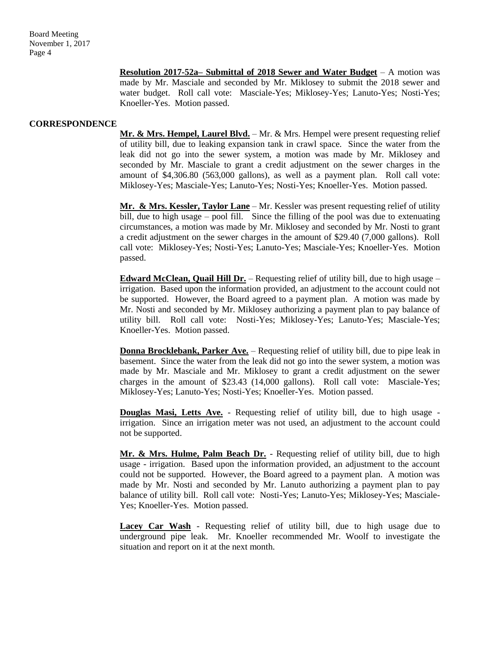**Resolution 2017-52a– Submittal of 2018 Sewer and Water Budget** – A motion was made by Mr. Masciale and seconded by Mr. Miklosey to submit the 2018 sewer and water budget. Roll call vote: Masciale-Yes; Miklosey-Yes; Lanuto-Yes; Nosti-Yes; Knoeller-Yes. Motion passed.

### **CORRESPONDENCE**

**Mr. & Mrs. Hempel, Laurel Blvd.** – Mr. & Mrs. Hempel were present requesting relief of utility bill, due to leaking expansion tank in crawl space. Since the water from the leak did not go into the sewer system, a motion was made by Mr. Miklosey and seconded by Mr. Masciale to grant a credit adjustment on the sewer charges in the amount of \$4,306.80 (563,000 gallons), as well as a payment plan. Roll call vote: Miklosey-Yes; Masciale-Yes; Lanuto-Yes; Nosti-Yes; Knoeller-Yes. Motion passed.

**Mr. & Mrs. Kessler, Taylor Lane** – Mr. Kessler was present requesting relief of utility bill, due to high usage – pool fill. Since the filling of the pool was due to extenuating circumstances, a motion was made by Mr. Miklosey and seconded by Mr. Nosti to grant a credit adjustment on the sewer charges in the amount of \$29.40 (7,000 gallons). Roll call vote: Miklosey-Yes; Nosti-Yes; Lanuto-Yes; Masciale-Yes; Knoeller-Yes. Motion passed.

**Edward McClean, Quail Hill Dr.** – Requesting relief of utility bill, due to high usage – irrigation. Based upon the information provided, an adjustment to the account could not be supported. However, the Board agreed to a payment plan. A motion was made by Mr. Nosti and seconded by Mr. Miklosey authorizing a payment plan to pay balance of utility bill. Roll call vote: Nosti-Yes; Miklosey-Yes; Lanuto-Yes; Masciale-Yes; Knoeller-Yes. Motion passed.

**Donna Brocklebank, Parker Ave.** – Requesting relief of utility bill, due to pipe leak in basement. Since the water from the leak did not go into the sewer system, a motion was made by Mr. Masciale and Mr. Miklosey to grant a credit adjustment on the sewer charges in the amount of \$23.43 (14,000 gallons). Roll call vote: Masciale-Yes; Miklosey-Yes; Lanuto-Yes; Nosti-Yes; Knoeller-Yes. Motion passed.

**Douglas Masi, Letts Ave.** - Requesting relief of utility bill, due to high usage irrigation. Since an irrigation meter was not used, an adjustment to the account could not be supported.

**Mr. & Mrs. Hulme, Palm Beach Dr.** - Requesting relief of utility bill, due to high usage - irrigation. Based upon the information provided, an adjustment to the account could not be supported. However, the Board agreed to a payment plan. A motion was made by Mr. Nosti and seconded by Mr. Lanuto authorizing a payment plan to pay balance of utility bill. Roll call vote: Nosti-Yes; Lanuto-Yes; Miklosey-Yes; Masciale-Yes; Knoeller-Yes. Motion passed.

**Lacey Car Wash** - Requesting relief of utility bill, due to high usage due to underground pipe leak. Mr. Knoeller recommended Mr. Woolf to investigate the situation and report on it at the next month.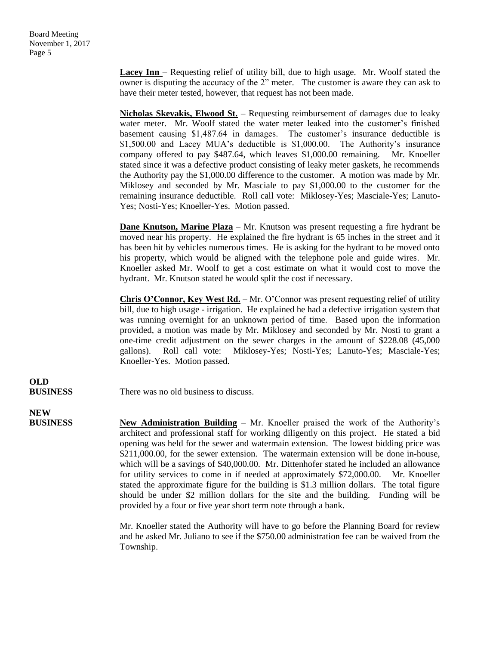**Lacey Inn** – Requesting relief of utility bill, due to high usage. Mr. Woolf stated the owner is disputing the accuracy of the 2" meter. The customer is aware they can ask to have their meter tested, however, that request has not been made.

**Nicholas Skevakis, Elwood St.** – Requesting reimbursement of damages due to leaky water meter. Mr. Woolf stated the water meter leaked into the customer's finished basement causing \$1,487.64 in damages. The customer's insurance deductible is \$1,500.00 and Lacey MUA's deductible is \$1,000.00. The Authority's insurance company offered to pay \$487.64, which leaves \$1,000.00 remaining. Mr. Knoeller stated since it was a defective product consisting of leaky meter gaskets, he recommends the Authority pay the \$1,000.00 difference to the customer. A motion was made by Mr. Miklosey and seconded by Mr. Masciale to pay \$1,000.00 to the customer for the remaining insurance deductible. Roll call vote: Miklosey-Yes; Masciale-Yes; Lanuto-Yes; Nosti-Yes; Knoeller-Yes. Motion passed.

**Dane Knutson, Marine Plaza** – Mr. Knutson was present requesting a fire hydrant be moved near his property. He explained the fire hydrant is 65 inches in the street and it has been hit by vehicles numerous times. He is asking for the hydrant to be moved onto his property, which would be aligned with the telephone pole and guide wires. Mr. Knoeller asked Mr. Woolf to get a cost estimate on what it would cost to move the hydrant. Mr. Knutson stated he would split the cost if necessary.

**Chris O'Connor, Key West Rd.** – Mr. O'Connor was present requesting relief of utility bill, due to high usage - irrigation. He explained he had a defective irrigation system that was running overnight for an unknown period of time. Based upon the information provided, a motion was made by Mr. Miklosey and seconded by Mr. Nosti to grant a one-time credit adjustment on the sewer charges in the amount of \$228.08 (45,000 gallons). Roll call vote: Miklosey-Yes; Nosti-Yes; Lanuto-Yes; Masciale-Yes; Knoeller-Yes. Motion passed.

**OLD**

**BUSINESS** There was no old business to discuss.

**NEW**

**BUSINESS New Administration Building** – Mr. Knoeller praised the work of the Authority's architect and professional staff for working diligently on this project. He stated a bid opening was held for the sewer and watermain extension. The lowest bidding price was \$211,000.00, for the sewer extension. The watermain extension will be done in-house, which will be a savings of \$40,000.00. Mr. Dittenhofer stated he included an allowance for utility services to come in if needed at approximately \$72,000.00. Mr. Knoeller stated the approximate figure for the building is \$1.3 million dollars. The total figure should be under \$2 million dollars for the site and the building. Funding will be provided by a four or five year short term note through a bank.

> Mr. Knoeller stated the Authority will have to go before the Planning Board for review and he asked Mr. Juliano to see if the \$750.00 administration fee can be waived from the Township.